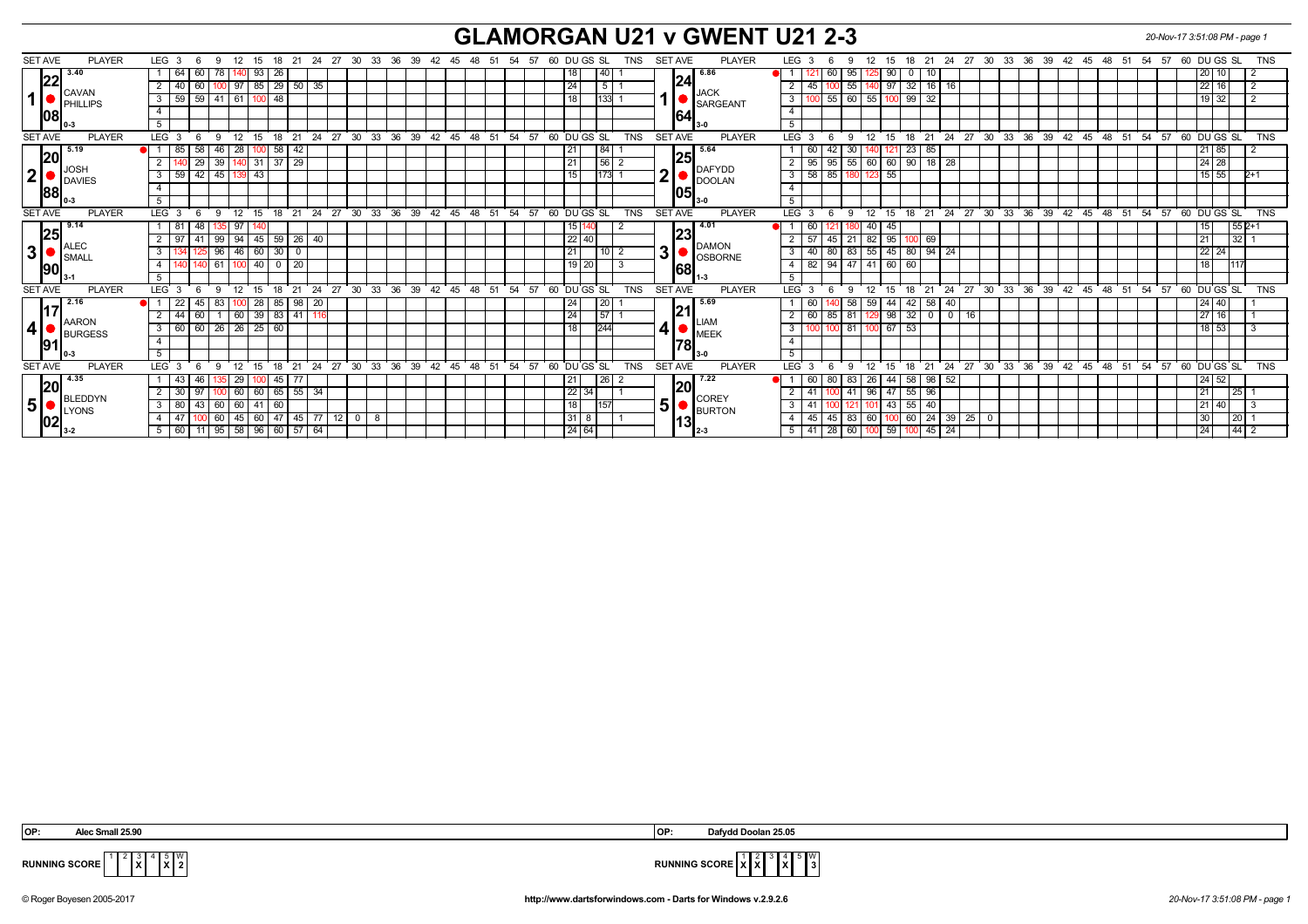## **GLAMORGAN U21 v GWENT U21 2-3** *20-Nov-17 3:51:08 PM - page 1*

| <b>SET AVE</b><br><b>PLAYER</b>                                               | LEG <sub>3</sub><br>12<br>15 18 21<br>- 6<br>-9      |                                   | 24 27 30 33 36 39 42 45 48 51 54 57<br>60 DU GS SL<br>TNS             | <b>SET AVE</b><br><b>PLAYER</b>                | LEG 3<br>12<br>15<br>-6<br>9                               |                                                         | 18  21  24  27  30  33  36  39  42  45  48  51  54  57  60  DU GS  SL<br>TNS |
|-------------------------------------------------------------------------------|------------------------------------------------------|-----------------------------------|-----------------------------------------------------------------------|------------------------------------------------|------------------------------------------------------------|---------------------------------------------------------|------------------------------------------------------------------------------|
| 3.40<br> 22<br><b>CAVAN</b><br>$\bullet$ $\bullet$ $\bullet$ $\bullet$<br> 08 | 60<br>93<br>26<br>64                                 |                                   | 40                                                                    | 6.86<br> 24                                    | 90                                                         |                                                         | 20 10                                                                        |
|                                                                               | $85 \mid 29 \mid 50$<br>40<br>60<br>100 97<br>-35    |                                   | $5\overline{)}$<br>24                                                 | <b>JACK</b>                                    | 55<br>$32$   16  <br>45  <br>97                            | 16                                                      | 22 16                                                                        |
|                                                                               | 59<br>$59$ 41 61<br>3<br>100 48                      |                                   | 133<br>18                                                             | SARGEANT                                       | 60<br>55<br>99<br>55<br>3                                  | -32                                                     | 19 32                                                                        |
|                                                                               | $\overline{4}$                                       |                                   |                                                                       | 1641                                           |                                                            |                                                         |                                                                              |
|                                                                               | 5                                                    |                                   |                                                                       | ll 3-0                                         | 5                                                          |                                                         |                                                                              |
| <b>SET AVE</b><br><b>PLAYER</b>                                               | 24<br><b>LEG</b><br>12<br>18<br>21<br>15             | 30<br>$33 \quad 36$<br>39<br>່ 27 | $42 \quad 45$<br>48<br>51<br>54<br>57<br>60<br>DU GS SL<br><b>TNS</b> | <b>SET AVE</b><br><b>PLAYER</b>                | <b>LEG</b><br>12<br>21<br>-9<br>15<br>18                   | 36<br>$^{\circ}$ 24<br>27<br>$30^{\circ}$<br>$33^\circ$ | $39 \quad 42$<br>45<br>48<br>51<br>54<br>57<br>60 DU GS SL<br><b>TNS</b>     |
| 5.19                                                                          | 58<br>28<br>58<br>42<br>46<br>85                     |                                   | 84<br>21                                                              | 5.64                                           | 23<br>60<br>30                                             | 85                                                      | 21   85                                                                      |
| 20                                                                            | 29<br>39<br>29<br>37<br>31                           |                                   | 56<br>$\overline{21}$                                                 | 25 <br>DAFYDD<br>◠<br>DOOLAN<br>1051<br>$13-0$ | 55<br>60<br>90<br>95<br>95<br> 60                          | $18$ 28                                                 | $24 \mid 28$                                                                 |
| ∥JOSH<br>$\mathbf{2}$                                                         | 59<br>$42 \mid 45 \mid$<br>43<br>3<br>139            |                                   | 1173<br>15                                                            |                                                | 58<br>85<br>55<br>3                                        |                                                         | $15$ 55<br>$2+1$                                                             |
| DAVIES<br> 88                                                                 |                                                      |                                   |                                                                       |                                                |                                                            |                                                         |                                                                              |
|                                                                               | -5                                                   |                                   |                                                                       |                                                | $\overline{5}$                                             |                                                         |                                                                              |
| <b>SET AVE</b><br><b>PLAYER</b>                                               | 18<br>21<br>LEG <sub>3</sub><br>- 6<br>12<br>15<br>9 | 24 27<br>33 36 39<br>$30^{\circ}$ | 42 45 48 51<br>54<br>57<br>60 DU GS SL<br><b>TNS</b>                  | <b>SET AVE</b><br><b>PLAYER</b>                | 18<br>LEG<br>9<br>12<br>15<br>$\mathcal{R}$                | 21 24 27 30 33 36                                       | 39 42 45 48 51 54 57<br>60 DU GS SL<br><b>TNS</b>                            |
| 9.14<br>25                                                                    | 97<br>48<br>- 81                                     |                                   | 15 140                                                                | 14.01                                          | 40<br>45<br>60                                             |                                                         | $1552+1$<br>15 I                                                             |
|                                                                               | 99<br>94<br>26<br>41<br>45 59<br>-40                 |                                   | $22$ 40                                                               | 23                                             | 21<br>$\vert 82 \vert$<br>95<br>57<br>45                   | 69                                                      | 32   1<br>211                                                                |
| ALEC<br>3                                                                     | 46<br>96<br>60<br>30<br>3<br>$\mathbf 0$             |                                   | 21                                                                    | DAMON<br>3 <sup>1</sup>                        | 55<br>45<br>80<br>40<br>83<br>80                           | $94$ 24                                                 | $22$ 24                                                                      |
| SMALI<br>90                                                                   | 20<br>$\overline{4}$<br>61<br>40<br>100              |                                   | $19$ 20                                                               | OSBORNE                                        | 82<br>94<br>47<br>$141$ 60<br>60                           |                                                         | 18                                                                           |
|                                                                               | 5                                                    |                                   |                                                                       | 1681                                           | 5                                                          |                                                         |                                                                              |
| <b>SET AVE</b><br><b>PLAYER</b>                                               | 21<br>24<br>$LEG$ 3<br>12<br>15<br>- 18<br>- 6<br>-9 | 30<br>33 36 39<br>$^{\circ}$ 27   | $60$ DU GS SL<br>$42$ 45 48 51<br>54<br>57<br><b>TNS</b>              | <b>SET AVE</b><br>PLAYER                       | LEG <sup>®</sup><br>12<br>18<br>$\mathbf{Q}$<br>15         | 30 33 36 39 42 45 48<br>21<br>24<br>27                  | 51 54 57<br>$60$ DU GS SL<br><b>TNS</b>                                      |
| 2.16<br> 17                                                                   | 28<br>98<br>22<br>45<br>85<br>20                     |                                   | 20                                                                    | 5.69<br>121                                    | 58<br>59<br>42                                             | 58<br>40                                                | 24 40                                                                        |
|                                                                               | 60<br>$39 \mid 83$<br>41<br>44<br>60                 |                                   | 57<br>24                                                              |                                                | 32<br>81<br>98<br>60<br>85                                 | $0$ 16<br>  0                                           | 27 16                                                                        |
| $\blacksquare$ $\blacksquare$ $\blacksquare$<br>4 <sup>1</sup>                | 26<br>60<br>60<br>26<br>$25 \mid 60$<br>3            |                                   | 244<br>18                                                             | <b>LIAM</b><br>41                              | 81<br>67<br>53<br>3                                        |                                                         | $18$ 53                                                                      |
| <b>BURGESS</b><br><u> 1911</u>                                                | $\overline{4}$                                       |                                   |                                                                       | $\blacksquare$ MEEK                            |                                                            |                                                         |                                                                              |
|                                                                               | $5^{\circ}$                                          |                                   |                                                                       | 178 <br>ll 3-0                                 | 5                                                          |                                                         |                                                                              |
| <b>SET AVE</b><br><b>PLAYER</b>                                               | LEG <sub>3</sub><br>12<br>21<br>24<br>15<br>18       | 36<br>27<br>30<br>33<br>39        | 42<br>48<br>54<br>57<br>60<br>DU GS SL<br><b>TNS</b><br>45<br>51      | <b>SET AVE</b><br><b>PLAYER</b>                | <b>LEG</b><br>12<br>21<br>18<br>Q                          | 36<br>39<br>24<br>27<br>30<br>33                        | 42<br>48<br>51<br>54<br>57<br>60 DU GS SL<br><b>TNS</b><br>45                |
| 4.35<br> 20<br><b>BLEDDYN</b><br>5 <sup>1</sup>                               | 29<br>-43<br>45<br>77<br>-46                         |                                   | 26<br>21                                                              | 7.22                                           | 58   98  <br>83<br>44 I<br>-80<br>- 26 I<br>60             | 52                                                      | 24   52                                                                      |
|                                                                               | 55<br>30<br>60<br>60 65<br>- 97<br>-34               |                                   | $22 \mid 34$                                                          |                                                | $55$   96<br>41<br>l 96 I<br>47<br>41                      |                                                         | 211<br>l 25 l                                                                |
|                                                                               | 80<br>43<br>60<br>60<br>3<br>41  <br>l 60            |                                   | 157<br>18 <sub>1</sub>                                                | <b>COREY</b><br>5 <sup>5</sup>                 | 55<br>  40<br>41<br>43                                     |                                                         | 21140                                                                        |
| <b>LYONS</b>                                                                  | 45<br>60<br>45<br>60<br>47<br>77                     | 12<br>$\mathbf{0}$<br>- 8         | $31$ 8                                                                | <b>BURTON</b>                                  | 83<br>60<br>45<br>60<br>45                                 | 25<br>-24<br>39 <sup>1</sup><br>- 0                     | 30 <sup>2</sup><br>l 20                                                      |
| 02 <br>$13-2$                                                                 | $5$ 60 11 95 58 96 60 57 64                          |                                   | 24 64                                                                 | 131<br>12-3                                    | 60   100   59   100   45   24  <br>$41 \overline{28}$<br>5 |                                                         | 24                                                                           |

**X** 5 **X** W

 **OP: Alec Small 25.90 OP: Dafydd Doolan 25.05**



**RUNNING SCORE**